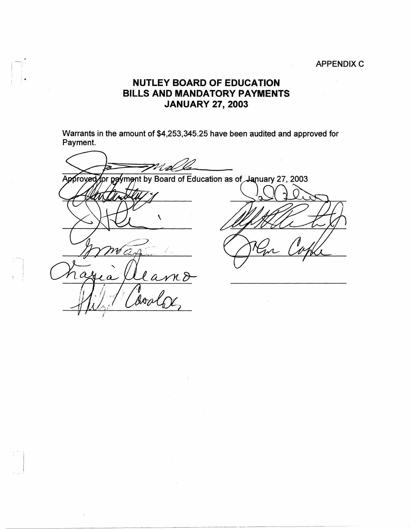### **APPENDIX C**

## **NUTLEY BOARD OF EDUCATION BILLS AND MANDATORY PAYMENTS JANUARY 27, 2003**

Warrants in the amount of \$4,253,345.25 have been audited and approved for Payment.

M d lla Approved for payment by Board of Education as of January 27, 2003 X بيسم  $\boldsymbol{a}$  ${\cal H}$  $\mathcal{L}$ åoa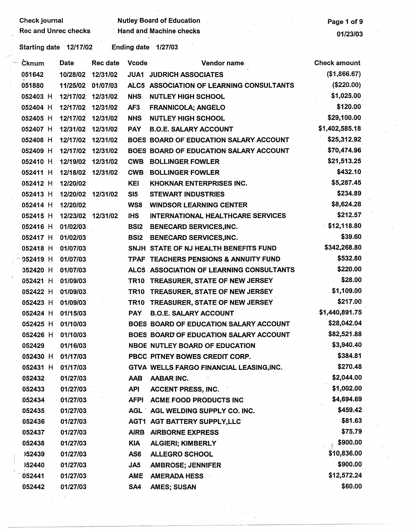*\_/j* 

## **Check journal Check is a contract of Check in the U.S. According Check is a contract of 9 contract of 9 contract of 9 contract of 9 contract of 9 contract of 9 contract of 9 contract of 9 contract of 9 contract of 9 contr** Rec and Unrec checks Hand and Machine checks 01/23/03

| ∙Čknum                     | <b>Date</b>       | Rec date | Vcode           | Vendor name                              | <b>Check amount</b> |
|----------------------------|-------------------|----------|-----------------|------------------------------------------|---------------------|
| 051642                     | 10/28/02 12/31/02 |          |                 | <b>JUA1 JUDRICH ASSOCIATES</b>           | (\$1,866.67)        |
| 051880                     | 11/25/02 01/07/03 |          |                 | ALC5 ASSOCIATION OF LEARNING CONSULTANTS | (\$220.00)          |
| 052403 H 12/17/02 12/31/02 |                   |          | <b>NHS</b>      | <b>NUTLEY HIGH SCHOOL</b>                | \$1,025.00          |
| 052404 H                   | 12/17/02          | 12/31/02 | AF <sub>3</sub> | <b>FRANNICOLA; ANGELO</b>                | \$120.00            |
| 052405 H                   | 12/17/02 12/31/02 |          | <b>NHS</b>      | <b>NUTLEY HIGH SCHOOL</b>                | \$29,100.00         |
| 052407 H                   | 12/31/02          | 12/31/02 | <b>PAY</b>      | <b>B.O.E. SALARY ACCOUNT</b>             | \$1,402,585.18      |
| 052408 H                   | 12/17/02          | 12/31/02 |                 | BOES BOARD OF EDUCATION SALARY ACCOUNT   | \$25,312.92         |
| 052409 H                   | 12/17/02 12/31/02 |          |                 | BOES BOARD OF EDUCATION SALARY ACCOUNT   | \$70,474.96         |
| 052410 H                   | 12/19/02          | 12/31/02 | <b>CWB</b>      | <b>BOLLINGER FOWLER</b>                  | \$21,513.25         |
| 052411 H                   | 12/18/02          | 12/31/02 | <b>CWB</b>      | <b>BOLLINGER FOWLER</b>                  | \$432.10            |
| 052412 H                   | 12/20/02          |          | <b>KEI</b>      | <b>KHOKNAR ENTERPRISES INC.</b>          | \$5,287.45          |
| 052413 H                   | 12/20/02          | 12/31/02 | S <sub>15</sub> | <b>STEWART INDUSTRIES</b>                | \$234.89            |
| 052414 H                   | 12/20/02          |          | WS8             | <b>WINDSOR LEARNING CENTER</b>           | \$8,624.28          |
| 052415 H                   | 12/23/02 12/31/02 |          | <b>IHS</b>      | INTERNATIONAL HEALTHCARE SERVICES        | \$212.57            |
| 052416 H                   | 01/02/03          |          |                 | <b>BSI2 BENECARD SERVICES, INC.</b>      | \$12,118.80         |
| 052417 H                   | 01/02/03          |          |                 | <b>BSI2 BENECARD SERVICES, INC.</b>      | \$39.60             |
| 052418 H                   | 01/07/03          |          |                 | SNJH STATE OF NJ HEALTH BENEFITS FUND    | \$342,268.80        |
| 052419 H                   | 01/07/03          |          |                 | TPAF TEACHERS PENSIONS & ANNUITY FUND    | \$532.80            |
| 052420 H                   | 01/07/03          |          |                 | ALC5 ASSOCIATION OF LEARNING CONSULTANTS | \$220.00            |
| 052421 H                   | 01/09/03          |          |                 | TR10 TREASURER, STATE OF NEW JERSEY      | \$28.00             |
| 052422 H                   | 01/09/03          |          |                 | TR10 TREASURER, STATE OF NEW JERSEY      | \$1,109.00          |
| 052423 H                   | 01/09/03          |          |                 | TR10 TREASURER, STATE OF NEW JERSEY      | \$217.00            |
| 052424 H                   | 01/15/03          |          |                 | PAY B.O.E. SALARY ACCOUNT                | \$1,440,891.75      |
| 052425 H 01/10/03          |                   |          |                 | BOES BOARD OF EDUCATION SALARY ACCOUNT   | \$28,042.04         |
| 052426 H                   | 01/10/03          |          |                 | BOES BOARD OF EDUCATION SALARY ACCOUNT   | \$82,521.88         |
| 052429                     | 01/16/03          |          |                 | <b>NBOE NUTLEY BOARD OF EDUCATION</b>    | \$3,940.40          |
| 052430 H 01/17/03          |                   |          |                 | PBCC PITNEY BOWES CREDIT CORP.           | \$384.81            |
| 052431 H                   | 01/17/03          |          |                 | GTVA WELLS FARGO FINANCIAL LEASING, INC. | \$270.48            |
| 052432                     | 01/27/03          |          | <b>AAB</b>      | <b>AABAR INC.</b>                        | \$2,044.00          |
| 052433                     | 01/27/03          |          | <b>API</b>      | <b>ACCENT PRESS, INC.</b>                | \$1,002.00          |
| 052434                     | 01/27/03          |          | <b>AFPI</b>     | ACME FOOD PRODUCTS INC                   | \$4,694.69          |
| 052435                     | 01/27/03          |          |                 | AGL AGL WELDING SUPPLY CO. INC.          | \$459.42            |
| 052436                     | 01/27/03          |          |                 | AGT1 AGT BATTERY SUPPLY, LLC             | \$81.63             |
| 052437                     | 01/27/03          |          |                 | AIRB AIRBORNE EXPRESS                    | \$75.79             |
| 052438                     | 01/27/03          |          | KIA             | <b>ALGIERI; KIMBERLY</b>                 | \$900.00            |
| 152439                     | 01/27/03          |          | AS6             | <b>ALLEGRO SCHOOL</b>                    | \$10,836.00         |
| 152440                     | 01/27/03          |          | JA5             | <b>AMBROSE; JENNIFER</b>                 | \$900.00            |
| 052441                     | 01/27/03          |          | <b>AME</b>      | <b>AMERADA HESS</b>                      | \$12,572.24         |
| 052442                     | 01/27/03          |          | SA4             | AMES; SUSAN                              | \$60.00             |
|                            |                   |          |                 |                                          |                     |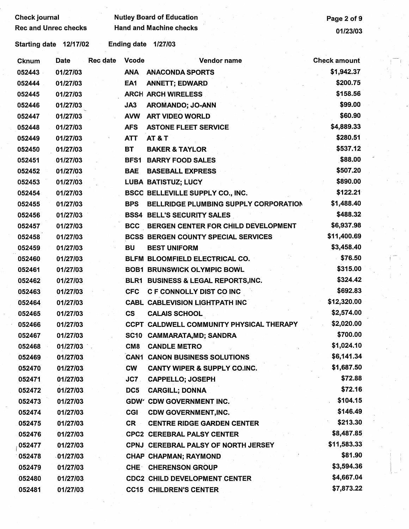| Check journal |                             |          |              | <b>Nutley Board of Education</b>           | Page 2 of 9         |  |
|---------------|-----------------------------|----------|--------------|--------------------------------------------|---------------------|--|
|               | <b>Rec and Unrec checks</b> |          |              | <b>Hand and Machine checks</b>             | 01/23/03            |  |
|               | Starting date 12/17/02      |          |              | Ending date 1/27/03                        |                     |  |
| <b>Cknum</b>  | Date                        | Rec date | <b>Vcode</b> | Vendor name                                | <b>Check amount</b> |  |
| 052443        | 01/27/03                    |          | <b>ANA</b>   | <b>ANACONDA SPORTS</b>                     | \$1,942.37          |  |
| 052444        | 01/27/03                    |          | EA1          | <b>ANNETT; EDWARD</b>                      | \$200.75            |  |
| 052445        | 01/27/03                    |          |              | <b>ARCH ARCH WIRELESS</b>                  | \$158.56            |  |
| 052446        | 01/27/03                    |          | JA3          | AROMANDO; JO-ANN                           | \$99.00             |  |
| 052447        | 01/27/03                    |          | <b>AVW</b>   | <b>ART VIDEO WORLD</b>                     | \$60.90             |  |
| 052448        | 01/27/03                    |          | <b>AFS</b>   | <b>ASTONE FLEET SERVICE</b>                | \$4,889.33          |  |
| 052449        | 01/27/03                    |          | <b>ATT</b>   | <b>AT &amp; T</b>                          | \$280.51            |  |
| 052450        | 01/27/03                    |          | BT           | <b>BAKER &amp; TAYLOR</b>                  | \$537.12            |  |
| 052451        | 01/27/03                    |          |              | <b>BFS1 BARRY FOOD SALES</b>               | \$88.00             |  |
| 052452        | 01/27/03                    |          | <b>BAE</b>   | <b>BASEBALL EXPRESS</b>                    | \$507.20            |  |
| 052453        | 01/27/03                    |          |              | <b>LUBA BATISTUZ; LUCY</b>                 | \$890.00            |  |
| 052454        | 01/27/03                    |          |              | <b>BSCC BELLEVILLE SUPPLY CO., INC.</b>    | \$122.21            |  |
| 052455        | 01/27/03                    |          | <b>BPS</b>   | BELLRIDGE PLUMBING SUPPLY CORPORATION      | \$1,488.40          |  |
| 052456        | 01/27/03                    |          |              | <b>BSS4 BELL'S SECURITY SALES</b>          | \$488.32            |  |
| 052457        | 01/27/03                    |          |              | BCC BERGEN CENTER FOR CHILD DEVELOPMENT    | \$6,937.98          |  |
| 052458        | 01/27/03                    |          |              | <b>BCSS BERGEN COUNTY SPECIAL SERVICES</b> | \$11,400.69         |  |
| 052459        | 01/27/03                    |          | BU           | <b>BEST UNIFORM</b>                        | \$3,458.40          |  |
| 052460        | 01/27/03                    |          |              | BLFM BLOOMFIELD ELECTRICAL CO.             | \$76.50             |  |
| 052461        | 01/27/03                    |          |              | <b>BOB1 BRUNSWICK OLYMPIC BOWL</b>         | \$315.00            |  |
| 052462        | 01/27/03                    |          |              | BLR1 BUSINESS & LEGAL REPORTS, INC.        | \$324.42            |  |
| 052463        | 01/27/03                    |          | <b>CFC</b>   | C F CONNOLLY DIST CO INC                   | \$692.83            |  |
| 052464        | 01/27/03                    |          |              | <b>CABL CABLEVISION LIGHTPATH INC</b>      | \$12,320.00         |  |
| 052465        | 01/27/03                    |          | CS           | <b>CALAIS SCHOOL</b>                       | \$2,574.00          |  |
| 052466        | 01/27/03                    |          |              | CCPT CALDWELL COMMUNITY PHYSICAL THERAPY   | \$2,020.00          |  |
| 052467        | 01/27/03                    |          |              | SC10 CAMMARATA, MD; SANDRA                 | \$700.00            |  |
| 052468        | 01/27/03                    |          |              | <b>CM8 CANDLE METRO</b>                    | \$1,024.10          |  |
| 052469        | 01/27/03                    |          |              | <b>CAN1 CANON BUSINESS SOLUTIONS</b>       | \$6,141.34          |  |
| 052470        | 01/27/03                    |          | <b>CW</b>    | <b>CANTY WIPER &amp; SUPPLY CO.INC.</b>    | \$1,687.50          |  |
| 052471        | 01/27/03                    |          | JC7.         | <b>CAPPELLO; JOSEPH</b>                    | \$72.88             |  |
| 052472        | 01/27/03                    |          | DC5          | <b>CARGILL: DONNA</b>                      | \$72.16             |  |
| 052473        | 01/27/03                    |          |              | GDW' CDW GOVERNMENT INC.                   | \$104.15            |  |
| 052474        | 01/27/03                    |          | <b>CGI</b>   | <b>CDW GOVERNMENT, INC.</b>                | \$146.49            |  |
| 052475        | 01/27/03                    |          | <b>CR</b>    | <b>CENTRE RIDGE GARDEN CENTER</b>          | \$213.30            |  |
| 052476        | 01/27/03                    |          |              | <b>CPC2 CEREBRAL PALSY CENTER</b>          | \$8,487.85          |  |
| 052477        | 01/27/03                    |          |              | CPNJ CEREBRAL PALSY OF NORTH JERSEY        | \$11,583.33         |  |
| 052478        | 01/27/03                    |          |              | CHAP CHAPMAN; RAYMOND                      | \$81.90             |  |
| 052479        | 01/27/03                    |          |              | <b>CHE CHERENSON GROUP</b>                 | \$3,594.36          |  |
| 052480        | 01/27/03                    |          |              | <b>CDC2 CHILD DEVELOPMENT CENTER</b>       | \$4,667.04          |  |
| 052481        | 01/27/03                    |          |              | <b>CC15 CHILDREN'S CENTER</b>              | \$7,873.22          |  |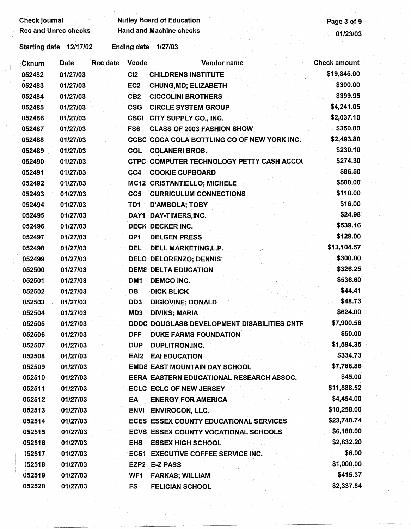# Check journal Mutley Board of Education<br>Rec and Unrec checks Hand and Machine checks (19/23/03

| Cknum  | Date     | <b>Rec</b> date | <b>Vcode</b>     | Vendor name                                 | <b>Check amount</b> |
|--------|----------|-----------------|------------------|---------------------------------------------|---------------------|
| 052482 | 01/27/03 |                 | CI2              | <b>CHILDRENS INSTITUTE</b>                  | \$19,845.00         |
| 052483 | 01/27/03 |                 | EC <sub>2</sub>  | <b>CHUNG, MD; ELIZABETH</b>                 | \$300.00            |
| 052484 | 01/27/03 |                 | CB <sub>2</sub>  | <b>CICCOLINI BROTHERS</b>                   | \$399.95            |
| 052485 | 01/27/03 |                 | <b>CSG</b>       | <b>CIRCLE SYSTEM GROUP</b>                  | \$4,241.05          |
| 052486 | 01/27/03 |                 | <b>CSCI</b>      | CITY SUPPLY CO., INC.                       | \$2,037.10          |
| 052487 | 01/27/03 |                 | FS6              | <b>CLASS OF 2003 FASHION SHOW</b>           | \$350.00            |
| 052488 | 01/27/03 |                 |                  | CCBC COCA COLA BOTTLING CO OF NEW YORK INC. | \$2,493.80          |
| 052489 | 01/27/03 |                 | COL              | <b>COLANERI BROS.</b>                       | \$230.10            |
| 052490 | 01/27/03 |                 |                  | CTPC COMPUTER TECHNOLOGY PETTY CASH ACCOL   | \$274.30            |
| 052491 | 01/27/03 |                 | CC4              | <b>COOKIE CUPBOARD</b>                      | \$86.50             |
| 052492 | 01/27/03 |                 |                  | MC12 CRISTANTIELLO; MICHELE                 | \$500.00            |
| 052493 | 01/27/03 |                 | CC5              | <b>CURRICULUM CONNECTIONS</b>               | \$110.00            |
| 052494 | 01/27/03 |                 | TD1              | <b>D'AMBOLA; TOBY</b>                       | \$16.00             |
| 052495 | 01/27/03 |                 |                  | DAY1 DAY-TIMERS, INC.                       | \$24.98             |
| 052496 | 01/27/03 |                 |                  | DECK DECKER INC.                            | \$539.16            |
| 052497 | 01/27/03 |                 | DP <sub>1</sub>  | <b>DELGEN PRESS</b>                         | \$129.00            |
| 052498 | 01/27/03 |                 | <b>DEL</b>       | DELL MARKETING, L.P.                        | \$13,104.57         |
| 052499 | 01/27/03 |                 |                  | <b>DELO DELORENZO; DENNIS</b>               | \$300.00            |
| 052500 | 01/27/03 |                 |                  | <b>DEMS DELTA EDUCATION</b>                 | \$326.25            |
| 052501 | 01/27/03 |                 | DM <sub>1</sub>  | DEMCO INC.                                  | \$536.60            |
| 052502 | 01/27/03 |                 | <b>DB</b>        | <b>DICK BLICK</b>                           | \$44.41             |
| 052503 | 01/27/03 |                 | DD <sub>3</sub>  | <b>DIGIOVINE; DONALD</b>                    | \$48.73             |
| 052504 | 01/27/03 |                 | MD3              | <b>DIVINS; MARIA</b>                        | \$624.00            |
| 052505 | 01/27/03 |                 |                  | DDDC DOUGLASS DEVELOPMENT DISABILITIES CNTR | \$7,900.56          |
| 052506 | 01/27/03 |                 | <b>DFF</b>       | <b>DUKE FARMS FOUNDATION</b>                | \$50.00             |
| 052507 | 01/27/03 |                 | <b>DUP</b>       | DUPLITRON, INC.                             | \$1,594.35          |
| 052508 | 01/27/03 |                 | EAI <sub>2</sub> | <b>EAI EDUCATION</b>                        | \$334.73            |
| 052509 | 01/27/03 |                 |                  | <b>EMDS EAST MOUNTAIN DAY SCHOOL</b>        | \$7,788.86          |
| 052510 | 01/27/03 |                 |                  | EERA EASTERN EDUCATIONAL RESEARCH ASSOC.    | \$45.00             |
| 052511 | 01/27/03 |                 |                  | <b>ECLC ECLC OF NEW JERSEY</b>              | \$11,888.52         |
| 052512 | 01/27/03 |                 | EA               | <b>ENERGY FOR AMERICA</b>                   | \$4,454.00          |
| 052513 | 01/27/03 |                 |                  | <b>ENVI ENVIROCON, LLC.</b>                 | \$10,258.00         |
| 052514 | 01/27/03 |                 |                  | ECES ESSEX COUNTY EDUCATIONAL SERVICES      | \$23,740.74         |
| 052515 | 01/27/03 |                 |                  | ECVS ESSEX COUNTY VOCATIONAL SCHOOLS        | \$6,180.00          |
| 052516 | 01/27/03 |                 | <b>EHS</b>       | <b>ESSEX HIGH SCHOOL</b>                    | \$2,632.20          |
| 752517 | 01/27/03 |                 | ECS1             | <b>EXECUTIVE COFFEE SERVICE INC.</b>        | \$6.00              |
| 152518 | 01/27/03 |                 |                  | EZP2 E-Z PASS                               | \$1,000.00          |
| 052519 | 01/27/03 |                 | WF1              | <b>FARKAS; WILLIAM</b>                      | \$415.37            |
| 052520 | 01/27/03 |                 | <b>FS</b>        | <b>FELICIAN SCHOOL</b>                      | \$2,337.84          |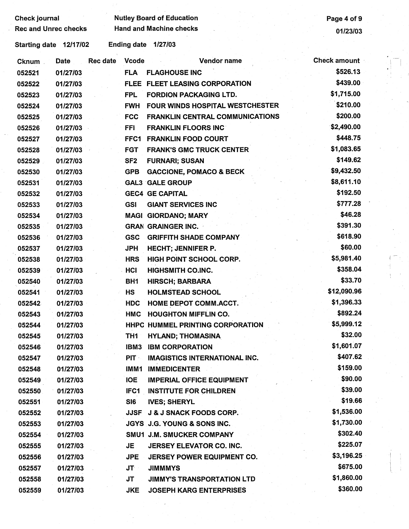Check journal **Check is a set of Secure 2** Nutley Board of Education **Page 4 of 9** 

Rec and Unrec checks Hand and Machine checks 61/23/03

| Cknum. | <b>Date</b> | <b>Rec date</b> | <b>Vcode</b>    | Vendor name                            | <b>Check amount</b> |  |
|--------|-------------|-----------------|-----------------|----------------------------------------|---------------------|--|
| 052521 | 01/27/03    |                 | <b>FLA</b>      | <b>FLAGHOUSE INC</b>                   | \$526.13            |  |
| 052522 | 01/27/03    |                 |                 | FLEE FLEET LEASING CORPORATION         | \$439.00            |  |
| 052523 | 01/27/03    |                 | <b>FPL</b>      | <b>FORDION PACKAGING LTD.</b>          | \$1,715.00          |  |
| 052524 | 01/27/03    |                 | <b>FWH</b>      | <b>FOUR WINDS HOSPITAL WESTCHESTER</b> | \$210.00            |  |
| 052525 | 01/27/03    |                 | <b>FCC</b>      | <b>FRANKLIN CENTRAL COMMUNICATIONS</b> | \$200.00            |  |
| 052526 | 01/27/03    |                 | <b>FFI</b>      | <b>FRANKLIN FLOORS INC</b>             | \$2,490.00          |  |
| 052527 | 01/27/03    |                 |                 | FFC1 FRANKLIN FOOD COURT               | \$448.75            |  |
| 052528 | 01/27/03    |                 | <b>FGT</b>      | <b>FRANK'S GMC TRUCK CENTER</b>        | \$1,083.65          |  |
| 052529 | 01/27/03    |                 | SF <sub>2</sub> | <b>FURNARI; SUSAN</b>                  | \$149.62            |  |
| 052530 | 01/27/03    |                 | <b>GPB</b>      | <b>GACCIONE, POMACO &amp; BECK</b>     | \$9,432.50          |  |
| 052531 | 01/27/03    |                 |                 | <b>GAL3 GALE GROUP</b>                 | \$8,611.10          |  |
| 052532 | 01/27/03    |                 |                 | <b>GEC4 GE CAPITAL</b>                 | \$192.50            |  |
| 052533 | 01/27/03    |                 | <b>GSI</b>      | <b>GIANT SERVICES INC</b>              | \$777.28            |  |
| 052534 | 01/27/03    |                 |                 | <b>MAGI GIORDANO; MARY</b>             | \$46.28             |  |
| 052535 | 01/27/03    |                 |                 | <b>GRAN GRAINGER INC.</b>              | \$391.30            |  |
| 052536 | 01/27/03    |                 | <b>GSC</b>      | <b>GRIFFITH SHADE COMPANY</b>          | \$618.90            |  |
| 052537 | 01/27/03    |                 | <b>JPH</b>      | <b>HECHT; JENNIFER P.</b>              | \$60.00             |  |
| 052538 | 01/27/03    |                 | <b>HRS</b>      | HIGH POINT SCHOOL CORP.                | \$5,981.40          |  |
| 052539 | 01/27/03    |                 | HCI             | <b>HIGHSMITH CO.INC.</b>               | \$358.04            |  |
| 052540 | 01/27/03    |                 | BH <sub>1</sub> | <b>HIRSCH; BARBARA</b>                 | \$33.70             |  |
| 052541 | 01/27/03    |                 | <b>HS</b>       | <b>HOLMSTEAD SCHOOL</b>                | \$12,090.96         |  |
| 052542 | 01/27/03    |                 | <b>HDC</b>      | HOME DEPOT COMM.ACCT.                  | \$1,396.33          |  |
| 052543 | 01/27/03    |                 | HMC             | <b>HOUGHTON MIFFLIN CO.</b>            | \$892.24            |  |
| 052544 | 01/27/03    |                 |                 | HHPC HUMMEL PRINTING CORPORATION       | \$5,999.12          |  |
| 052545 | 01/27/03    |                 | TH1             | <b>HYLAND; THOMASINA</b>               | \$32.00             |  |
| 052546 | 01/27/03    |                 | IBM3            | <b>IBM CORPORATION</b>                 | \$1,601.07          |  |
| 052547 | 01/27/03    |                 | <b>PIT</b>      | <b>IMAGISTICS INTERNATIONAL INC.</b>   | \$407.62            |  |
| 052548 | 01/27/03    |                 | IMM1            | <b>IMMEDICENTER</b>                    | \$159.00            |  |
| 052549 | 01/27/03    |                 | <b>IOE</b>      | <b>IMPERIAL OFFICE EQUIPMENT</b>       | \$90.00             |  |
| 052550 | 01/27/03    |                 | IFC1            | <b>INSTITUTE FOR CHILDREN</b>          | \$39.00             |  |
| 052551 | 01/27/03    |                 | SI6             | <b>IVES; SHERYL</b>                    | \$19.66             |  |
| 052552 | 01/27/03    |                 | JJSF            | <b>J &amp; J SNACK FOODS CORP.</b>     | \$1,536.00          |  |
| 052553 | 01/27/03    |                 |                 | <b>JGYS J.G. YOUNG &amp; SONS INC.</b> | \$1,730.00          |  |
| 052554 | 01/27/03    |                 |                 | SMU1 J.M. SMUCKER COMPANY              | \$302.40            |  |
| 052555 | 01/27/03    |                 | JE              | JERSEY ELEVATOR CO. INC.               | \$225.07            |  |
| 052556 | 01/27/03    |                 | <b>JPE</b>      | <b>JERSEY POWER EQUIPMENT CO.</b>      | \$3,196.25          |  |
| 052557 | 01/27/03    |                 | JT -            | <b>JIMMMYS</b>                         | \$675.00            |  |
| 052558 | 01/27/03    |                 | <b>JT</b>       | <b>JIMMY'S TRANSPORTATION LTD</b>      | \$1,860.00          |  |
| 052559 | 01/27/03    |                 | <b>JKE</b>      | <b>JOSEPH KARG ENTERPRISES</b>         | \$360.00            |  |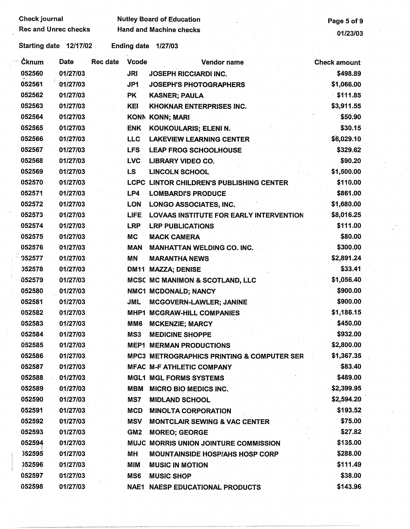| <b>Check journal</b>        |                          | <b>Nutley Board of Education</b>                      | Page 5 of 9         |
|-----------------------------|--------------------------|-------------------------------------------------------|---------------------|
| <b>Rec and Unrec checks</b> |                          | <b>Hand and Machine checks</b>                        | 01/23/03            |
| Starting date 12/17/02      | Ending date 1/27/03      |                                                       |                     |
| Ċknum<br>Date               | Rec date<br><b>Vcode</b> | Vendor name                                           | <b>Check amount</b> |
| 052560<br>01/27/03          | <b>JRI</b>               | <b>JOSEPH RICCIARDI INC.</b>                          | \$498.89            |
| 01/27/03<br>052561          | JP1                      | <b>JOSEPH'S PHOTOGRAPHERS</b>                         | \$1,066.00          |
| 052562<br>01/27/03          | <b>PK</b>                | <b>KASNER; PAULA</b>                                  | \$111.85            |
| 052563<br>01/27/03          | <b>KEI</b>               | <b>KHOKNAR ENTERPRISES INC.</b>                       | \$3,911.55          |
| 052564<br>01/27/03          |                          | KONN KONN; MARI                                       | \$50.90             |
| 052565<br>01/27/03          | <b>ENK</b>               | KOUKOULARIS; ELENI N.                                 | \$30.15             |
| 052566<br>01/27/03          | <b>LLC</b>               | <b>LAKEVIEW LEARNING CENTER</b>                       | \$6,029.10          |
| 052567<br>01/27/03          | <b>LFS</b>               | <b>LEAP FROG SCHOOLHOUSE</b>                          | \$329.62            |
| 01/27/03<br>052568          | <b>LVC</b>               | <b>LIBRARY VIDEO CO.</b>                              | \$90.20             |
| 052569<br>01/27/03          | <b>LS</b>                | <b>LINCOLN SCHOOL</b>                                 | \$1,500.00          |
| 052570<br>01/27/03          |                          | LCPC LINTOR CHILDREN'S PUBLISHING CENTER              | \$110.00            |
| 052571<br>01/27/03          | LP4                      | <b>LOMBARDI'S PRODUCE</b>                             | \$861.00            |
| 052572<br>01/27/03          | <b>LON</b>               | <b>LONGO ASSOCIATES, INC.</b>                         | \$1,680.00          |
| 052573<br>01/27/03          | <b>LIFE</b>              | LOVAAS INSTITUTE FOR EARLY INTERVENTION               | \$8,016.25          |
| 052574<br>01/27/03          | <b>LRP</b>               | <b>LRP PUBLICATIONS</b>                               | \$111.00            |
| 052575<br>01/27/03          | <b>MC</b>                | <b>MACK CAMERA</b>                                    | \$80.00             |
| 052576<br>01/27/03          | <b>MAN</b>               | <b>MANHATTAN WELDING CO. INC.</b>                     | \$300.00            |
| 052577<br>01/27/03          | <b>MN</b>                | <b>MARANTHA NEWS</b>                                  | \$2,891.24          |
| 052578<br>01/27/03          |                          | <b>DM11 MAZZA; DENISE</b>                             | \$33.41             |
| 052579<br>01/27/03          |                          | MCSC MC MANIMON & SCOTLAND, LLC                       | \$1,056.40          |
| 052580<br>01/27/03          |                          | NMC1 MCDONALD; NANCY                                  | \$900.00            |
| 052581<br>01/27/03          | <b>JML</b>               | <b>MCGOVERN-LAWLER; JANINE</b>                        | \$900.00            |
| 052582<br>01/27/03          |                          | MHP1 MCGRAW-HILL COMPANIES                            | \$1,186.15          |
| 052583<br>01/27/03          | MM6                      | <b>MCKENZIE: MARCY</b>                                | \$450.00            |
| 052584<br>01/27/03          | MS3                      | <b>MEDICINE SHOPPE</b>                                | \$932.00            |
| 052585<br>01/27/03          |                          | <b>MEP1 MERMAN PRODUCTIONS</b>                        | \$2,800.00          |
| 052586<br>01/27/03          |                          | <b>MPC3 METROGRAPHICS PRINTING &amp; COMPUTER SER</b> | \$1,367.35          |
| 052587<br>01/27/03          |                          | <b>MFAC M-F ATHLETIC COMPANY</b>                      | \$83.40             |
| 052588<br>01/27/03          |                          | <b>MGL1 MGL FORMS SYSTEMS</b>                         | \$489.00            |
| 052589<br>01/27/03          | MBM                      | <b>MICRO BIO MEDICS INC.</b>                          | \$2,399.95          |
| 052590<br>01/27/03          | MS7                      | <b>MIDLAND SCHOOL</b>                                 | \$2,594.20          |
| 052591<br>01/27/03          | <b>MCD</b>               | <b>MINOLTA CORPORATION</b>                            | \$193.52            |
| 052592<br>01/27/03          | <b>MSV</b>               | <b>MONTCLAIR SEWING &amp; VAC CENTER</b>              | \$75.00             |
| 052593<br>01/27/03          | GM <sub>2</sub>          | <b>MOREO; GEORGE</b>                                  | \$27.82             |
| 052594<br>01/27/03          |                          | MUJC MORRIS UNION JOINTURE COMMISSION                 | \$135.00            |
| 052595<br>01/27/03          | ΜH                       | <b>MOUNTAINSIDE HOSP/AHS HOSP CORP</b>                | \$288.00            |
| 052596<br>01/27/03          | MIM                      | <b>MUSIC IN MOTION</b>                                | \$111.49            |
| 01/27/03<br>052597          | MS6                      | <b>MUSIC SHOP</b>                                     | \$38.00             |
| 052598<br>01/27/03          |                          | <b>NAE1 NAESP EDUCATIONAL PRODUCTS</b>                | \$143.96            |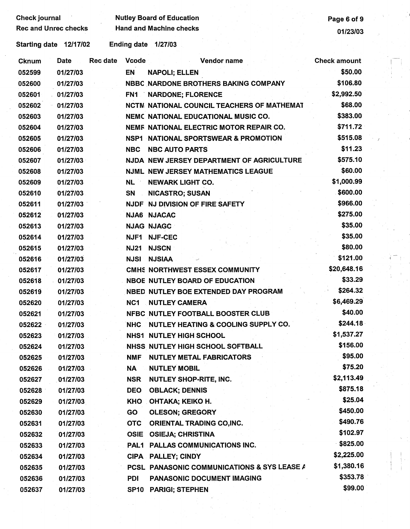Rec and Unrec checks Hand and Machine checks 01/23/03

## Check journal **Check is a contract of Check in the UL** Page 6 of 9

I.

| <b>Cknum</b> | Date     | <b>Rec date</b> | Vcode           | Vendor name                                       | <b>Check amount</b> |  |
|--------------|----------|-----------------|-----------------|---------------------------------------------------|---------------------|--|
| 052599       | 01/27/03 |                 | EN              | <b>NAPOLI; ELLEN</b>                              | \$50.00             |  |
| 052600       | 01/27/03 |                 |                 | NBBC NARDONE BROTHERS BAKING COMPANY              | \$106.80            |  |
| 052601       | 01/27/03 |                 |                 | FN1 NARDONE; FLORENCE                             | \$2,992.50          |  |
| 052602       | 01/27/03 |                 |                 | <b>NCTM NATIONAL COUNCIL TEACHERS OF MATHEMAT</b> | \$68.00             |  |
| 052603       | 01/27/03 |                 |                 | NEMC NATIONAL EDUCATIONAL MUSIC CO.               | \$383.00            |  |
| 052604       | 01/27/03 |                 |                 | NEMF NATIONAL ELECTRIC MOTOR REPAIR CO.           | \$711.72            |  |
| 052605       | 01/27/03 |                 |                 | NSP1 NATIONAL SPORTSWEAR & PROMOTION              | \$515.08            |  |
| 052606       | 01/27/03 |                 | <b>NBC</b>      | <b>NBC AUTO PARTS</b>                             | \$11.23             |  |
| 052607       | 01/27/03 |                 |                 | NJDA NEW JERSEY DEPARTMENT OF AGRICULTURE         | \$575.10            |  |
| 052608       | 01/27/03 |                 |                 | NJML NEW JERSEY MATHEMATICS LEAGUE                | \$60.00             |  |
| 052609       | 01/27/03 |                 | <b>NL</b>       | <b>NEWARK LIGHT CO.</b>                           | \$1,000.99          |  |
| 052610       | 01/27/03 |                 | SN              | <b>NICASTRO; SUSAN</b>                            | \$600.00            |  |
| 052611       | 01/27/03 |                 |                 | NJDF NJ DIVISION OF FIRE SAFETY                   | \$966.00            |  |
| 052612       | 01/27/03 |                 |                 | <b>NJA6 NJACAC</b>                                | \$275.00            |  |
| 052613       | 01/27/03 |                 |                 | <b>NJAG NJAGC</b>                                 | \$35.00             |  |
| 052614       | 01/27/03 |                 |                 | NJF1 NJF-CEC                                      | \$35.00             |  |
| 052615       | 01/27/03 |                 | <b>NJ21</b>     | <b>NJSCN</b>                                      | \$80.00             |  |
| 052616       | 01/27/03 |                 |                 | <b>NJSI NJSIAA</b>                                | \$121.00            |  |
| 052617       | 01/27/03 |                 |                 | CMHS NORTHWEST ESSEX COMMUNITY                    | \$20,648.16         |  |
| 052618       | 01/27/03 |                 |                 | <b>NBOE NUTLEY BOARD OF EDUCATION</b>             | \$33.29             |  |
| 052619       | 01/27/03 |                 |                 | NBED NUTLEY BOE EXTENDED DAY PROGRAM              | \$264.32            |  |
| 052620       | 01/27/03 |                 | NC <sub>1</sub> | <b>NUTLEY CAMERA</b>                              | \$6,469.29          |  |
| 052621       | 01/27/03 |                 |                 | NFBC NUTLEY FOOTBALL BOOSTER CLUB                 | \$40.00             |  |
| 052622       | 01/27/03 |                 | <b>NHC</b>      | NUTLEY HEATING & COOLING SUPPLY CO.               | \$244.18            |  |
| 052623       | 01/27/03 |                 |                 | <b>NHS1 NUTLEY HIGH SCHOOL</b>                    | \$1,537.27          |  |
| 052624       | 01/27/03 |                 |                 | NHSS NUTLEY HIGH SCHOOL SOFTBALL                  | \$156.00            |  |
| 052625       | 01/27/03 |                 | <b>NMF</b>      | <b>NUTLEY METAL FABRICATORS</b>                   | \$95.00             |  |
| 052626       | 01/27/03 |                 | NA              | <b>NUTLEY MOBIL</b>                               | \$75.20             |  |
| 052627       | 01/27/03 |                 | <b>NSR</b>      | <b>NUTLEY SHOP-RITE, INC.</b>                     | \$2,113.49          |  |
| 052628       | 01/27/03 |                 | <b>DEO</b>      | <b>OBLACK; DENNIS</b>                             | \$875.18            |  |
| 052629       | 01/27/03 |                 | KHO             | OHTAKA; KEIKO H.                                  | \$25.04             |  |
| 052630       | 01/27/03 |                 | GO              | <b>OLESON; GREGORY</b>                            | \$450.00            |  |
| 052631       | 01/27/03 |                 | <b>OTC</b>      | ORIENTAL TRADING CO, INC.                         | \$490.76            |  |
| 052632       | 01/27/03 |                 | <b>OSIE</b>     | <b>OSIEJA; CHRISTINA</b>                          | \$102.97            |  |
| 052633       | 01/27/03 |                 | PAL1            | PALLAS COMMUNICATIONS INC.                        | \$825.00            |  |
| 052634       | 01/27/03 |                 |                 | CIPA PALLEY; CINDY                                | \$2,225.00          |  |
| 052635       | 01/27/03 |                 |                 | PCSL PANASONIC COMMUNICATIONS & SYS LEASE A       | \$1,380.16          |  |
| 052636       | 01/27/03 |                 | PDI             | <b>PANASONIC DOCUMENT IMAGING</b>                 | \$353.78            |  |
| 052637       | 01/27/03 |                 | SP10            | <b>PARIGI; STEPHEN</b>                            | \$99.00             |  |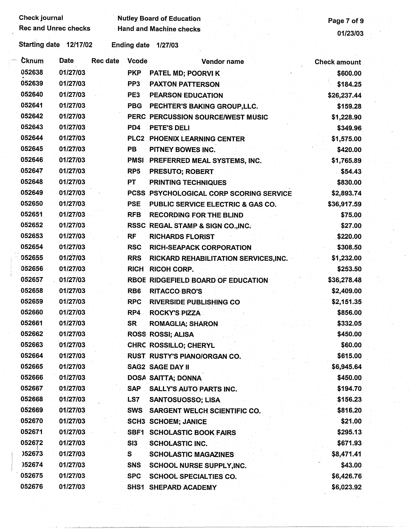| <b>Check journal</b> | <b>Rec and Unrec checks</b> |          |                 | <b>Nutley Board of Education</b>        | Page 7 of 9         |
|----------------------|-----------------------------|----------|-----------------|-----------------------------------------|---------------------|
|                      |                             |          |                 | <b>Hand and Machine checks</b>          | 01/23/03            |
|                      | Starting date 12/17/02      |          |                 | Ending date 1/27/03                     |                     |
| <b>Cknum</b>         | Date                        | Rec date | <b>Vcode</b>    | Vendor name                             | <b>Check amount</b> |
| 052638               | 01/27/03                    |          | <b>PKP</b>      | PATEL MD; POORVI K                      | \$600.00            |
| 052639               | 01/27/03                    |          | PP <sub>3</sub> | <b>PAXTON PATTERSON</b>                 | \$184.25            |
| 052640               | 01/27/03                    |          | PE3             | <b>PEARSON EDUCATION</b>                | \$26,237.44         |
| 052641               | 01/27/03                    |          | <b>PBG</b>      | PECHTER'S BAKING GROUP, LLC.            | \$159.28            |
| 052642               | 01/27/03                    |          |                 | PERC PERCUSSION SOURCE/WEST MUSIC       | \$1,228.90          |
| 052643               | 01/27/03                    |          | PD <sub>4</sub> | PETE'S DELI                             | \$349.96            |
| 052644               | 01/27/03                    |          |                 | PLC2 PHOENIX LEARNING CENTER            | \$1,575.00          |
| 052645               | 01/27/03                    |          | PB              | PITNEY BOWES INC.                       | \$420.00            |
| 052646               | 01/27/03                    |          |                 | PMSI PREFERRED MEAL SYSTEMS, INC.       | \$1,765.89          |
| 052647               | 01/27/03                    |          | RP <sub>5</sub> | <b>PRESUTO; ROBERT</b>                  | \$54.43             |
| 052648               | 01/27/03                    |          | <b>PT</b>       | <b>PRINTING TECHNIQUES</b>              | \$830.00            |
| 052649               | 01/27/03                    |          |                 | PCSS PSYCHOLOGICAL CORP SCORING SERVICE | \$2,893.74          |
| 052650               | 01/27/03                    |          | <b>PSE</b>      | PUBLIC SERVICE ELECTRIC & GAS CO.       | \$36,917.59         |
| 052651               | 01/27/03                    |          | <b>RFB</b>      | <b>RECORDING FOR THE BLIND</b>          | \$75.00             |
| 052652               | 01/27/03                    |          |                 | RSSC REGAL STAMP & SIGN CO., INC.       | \$27.00             |
| 052653               | 01/27/03                    |          | <b>RF</b>       | <b>RICHARDS FLORIST</b>                 | \$220.00            |
| 052654               | 01/27/03                    |          | <b>RSC</b>      | <b>RICH-SEAPACK CORPORATION</b>         | \$308.50            |
| 052655               | 01/27/03                    |          | <b>RRS</b>      | RICKARD REHABILITATION SERVICES, INC.   | \$1,232.00          |
| 052656               | 01/27/03                    |          | <b>RICH</b>     | <b>RICOH CORP.</b>                      | \$253.50            |
| 052657               | 01/27/03                    |          |                 | RBOE RIDGEFIELD BOARD OF EDUCATION      | \$36,278.48         |
| 052658               | 01/27/03                    |          | RB <sub>6</sub> | <b>RITACCO BRO'S</b>                    | \$2,409.00          |
| 052659               | 01/27/03                    |          | <b>RPC</b>      | <b>RIVERSIDE PUBLISHING CO</b>          | \$2,151.35          |
| 052660               | 01/27/03                    |          | RP4             | <b>ROCKY'S PIZZA</b>                    | \$856.00            |
| 052661               | 01/27/03                    |          | SR              | <b>ROMAGLIA; SHARON</b>                 | \$332.05            |
| 052662               | 01/27/03                    |          |                 | ROSS ROSSI; ALISA                       | \$450.00            |
| 052663               | 01/27/03                    |          |                 | CHRC ROSSILLO; CHERYL                   | \$60.00             |
| 052664               | 01/27/03                    |          |                 | RUST RUSTY'S PIANO/ORGAN CO.            | \$615.00            |
| 052665               | 01/27/03                    |          |                 | <b>SAG2 SAGE DAY II</b>                 | \$6,945.64          |
| 052666               | 01/27/03                    |          |                 | DOSA SAITTA; DONNA                      | \$450.00            |
| 052667               | 01/27/03                    |          |                 | SAP SALLY'S AUTO PARTS INC.             | \$194.70            |
| 052668               | 01/27/03                    |          | LS7             | <b>SANTOSUOSSO; LISA</b>                | \$156.23            |
| 052669               | 01/27/03                    |          |                 | SWS SARGENT WELCH SCIENTIFIC CO.        | \$816.20            |
| 052670               | 01/27/03                    |          |                 | <b>SCH3 SCHOEM; JANICE</b>              | \$21.00             |
| 052671               | 01/27/03                    |          |                 | SBF1 SCHOLASTIC BOOK FAIRS              | \$295.13            |
| 052672               | 01/27/03                    |          | SI3             |                                         | \$671.93            |
| )52673               | 01/27/03                    |          | S.              | <b>SCHOLASTIC INC.</b>                  |                     |
| 052674               | 01/27/03                    |          |                 | <b>SCHOLASTIC MAGAZINES</b>             | \$8,471.41          |
| 052675               |                             |          | SNS             | SCHOOL NURSE SUPPLY, INC.               | \$43.00             |
|                      | 01/27/03                    |          | <b>SPC</b>      | <b>SCHOOL SPECIALTIES CO.</b>           | \$6,426.76          |
| 052676               | 01/27/03                    |          |                 | SHS1 SHEPARD ACADEMY                    | \$6,023.92          |

 $\mathbb{R}^2$ 

Ŷ,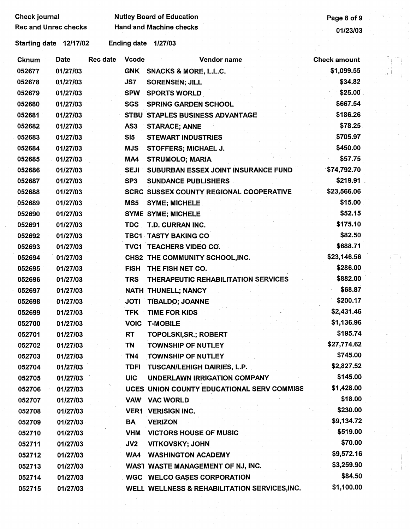| <b>Check journal</b>        |          |                 |                 | <b>Nutley Board of Education</b>               | Page 8 of 9         |  |
|-----------------------------|----------|-----------------|-----------------|------------------------------------------------|---------------------|--|
| <b>Rec and Unrec checks</b> |          |                 |                 | <b>Hand and Machine checks</b>                 | 01/23/03            |  |
| Starting date 12/17/02      |          |                 |                 | Ending date 1/27/03                            |                     |  |
| <b>Cknum</b>                | Date     | <b>Rec date</b> | <b>Vcode</b>    | Vendor name                                    | <b>Check amount</b> |  |
| 052677                      | 01/27/03 |                 |                 | GNK SNACKS & MORE, L.L.C.                      | \$1,099.55          |  |
| 052678                      | 01/27/03 |                 | JS7             | <b>SORENSEN; JILL</b>                          | \$34.82             |  |
| 052679                      | 01/27/03 |                 | <b>SPW</b>      | <b>SPORTS WORLD</b>                            | \$25.00             |  |
| 052680                      | 01/27/03 |                 | <b>SGS</b>      | <b>SPRING GARDEN SCHOOL</b>                    | \$667.54            |  |
| 052681                      | 01/27/03 |                 |                 | STBU STAPLES BUSINESS ADVANTAGE                | \$186.26            |  |
| 052682                      | 01/27/03 |                 | AS <sub>3</sub> | <b>STARACE; ANNE</b>                           | \$78.25             |  |
| 052683                      | 01/27/03 |                 | SI5             | <b>STEWART INDUSTRIES</b>                      | \$705.97            |  |
| 052684                      | 01/27/03 |                 | <b>MJS</b>      | <b>STOFFERS; MICHAEL J.</b>                    | \$450.00            |  |
| 052685                      | 01/27/03 |                 | MA4             | <b>STRUMOLO; MARIA</b>                         | \$57.75             |  |
| 052686                      | 01/27/03 |                 | <b>SEJI</b>     | SUBURBAN ESSEX JOINT INSURANCE FUND            | \$74,792.70         |  |
| 052687                      | 01/27/03 |                 | SP3             | <b>SUNDANCE PUBLISHERS</b>                     | \$219.91            |  |
| 052688                      | 01/27/03 |                 |                 | <b>SCRC SUSSEX COUNTY REGIONAL COOPERATIVE</b> | \$23,566.06         |  |
| 052689                      | 01/27/03 |                 | MS5             | <b>SYME; MICHELE</b>                           | \$15.00             |  |
| 052690                      | 01/27/03 |                 |                 | <b>SYME SYME; MICHELE</b>                      | \$52.15             |  |
| 052691                      | 01/27/03 |                 | <b>TDC</b>      | T.D. CURRAN INC.                               | \$175.10            |  |
| 052692                      | 01/27/03 |                 |                 | <b>TBC1 TASTY BAKING CO</b>                    | \$82.50             |  |
| 052693                      | 01/27/03 |                 |                 | TVC1 TEACHERS VIDEO CO.                        | \$688.71            |  |
| 052694                      | 01/27/03 |                 |                 | CHS2 THE COMMUNITY SCHOOL, INC.                | \$23,146.56         |  |
| 052695                      | 01/27/03 |                 | <b>FISH</b>     | THE FISH NET CO.                               | \$286.00            |  |
| 052696                      | 01/27/03 |                 | <b>TRS</b>      | THERAPEUTIC REHABILITATION SERVICES            | \$882.00            |  |
| 052697                      | 01/27/03 |                 |                 | NATH THUNELL; NANCY                            | \$68.87             |  |
| 052698                      | 01/27/03 |                 | <b>JOTI</b>     | <b>TIBALDO; JOANNE</b>                         | \$200.17            |  |
| 052699                      | 01/27/03 |                 | TFK             | TIME FOR KIDS                                  | \$2,431.46          |  |
| 052700                      | 01/27/03 |                 |                 | <b>VOIC T-MOBILE</b>                           | \$1,136.96          |  |
| 052701                      | 01/27/03 |                 | RT              | <b>TOPOLSKI,SR.; ROBERT</b>                    | \$195.74            |  |
| 052702                      | 01/27/03 |                 | <b>TN</b>       | TOWNSHIP OF NUTLEY                             | \$27,774.62         |  |
| 052703                      | 01/27/03 |                 | TN4             | TOWNSHIP OF NUTLEY                             | \$745.00            |  |
| 052704                      | 01/27/03 |                 | TDFI.           | TUSCAN/LEHIGH DAIRIES, L.P.                    | \$2,827.52          |  |
| 052705                      | 01/27/03 |                 | <b>UIC</b>      | <b>UNDERLAWN IRRIGATION COMPANY</b>            | \$145.00            |  |
| 052706                      | 01/27/03 |                 |                 | UCES UNION COUNTY EDUCATIONAL SERV COMMISS     | \$1,428.00          |  |
| 052707                      | 01/27/03 |                 |                 | VAW VAC WORLD                                  | \$18.00             |  |
| 052708                      | 01/27/03 |                 |                 | <b>VER1 VERISIGN INC.</b>                      | \$230.00            |  |
| 052709                      | 01/27/03 |                 | BA              | <b>VERIZON</b>                                 | \$9,134.72          |  |
| 052710                      | 01/27/03 |                 | <b>VHM</b>      | <b>VICTORS HOUSE OF MUSIC</b>                  | \$519.00            |  |
| 052711                      | 01/27/03 |                 | JV2             | <b>VITKOVSKY; JOHN</b>                         | \$70.00             |  |
| 052712                      | 01/27/03 |                 |                 | <b>WA4 WASHINGTON ACADEMY</b>                  | \$9,572.16          |  |
| 052713                      | 01/27/03 |                 |                 | WAST WASTE MANAGEMENT OF NJ, INC.              | \$3,259.90          |  |
| 052714                      | 01/27/03 |                 |                 | <b>WGC WELCO GASES CORPORATION</b>             | \$84.50             |  |
| 052715                      | 01/27/03 |                 |                 | WELL WELLNESS & REHABILITATION SERVICES, INC.  | \$1,100.00          |  |

 $\begin{array}{c} \begin{array}{c} \begin{array}{c} \begin{array}{c} \begin{array}{c} \end{array} \\ \begin{array}{c} \end{array} \\ \begin{array}{c} \end{array} \\ \begin{array}{c} \end{array} \\ \begin{array}{c} \end{array} \\ \begin{array}{c} \end{array} \end{array} \end{array} \end{array}$